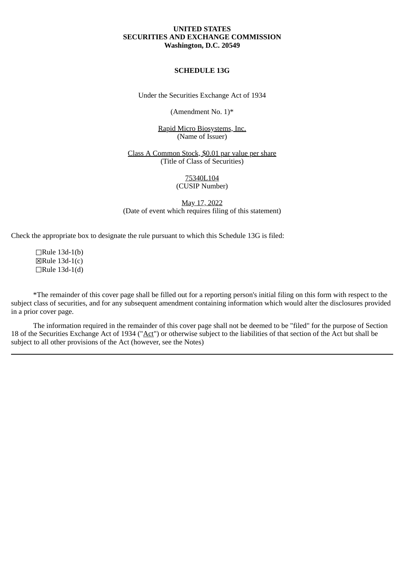# **UNITED STATES SECURITIES AND EXCHANGE COMMISSION Washington, D.C. 20549**

#### **SCHEDULE 13G**

Under the Securities Exchange Act of 1934

(Amendment No. 1)\*

Rapid Micro Biosystems, Inc. (Name of Issuer)

Class A Common Stock, \$0.01 par value per share (Title of Class of Securities)

#### 75340L104 (CUSIP Number)

May 17, 2022 (Date of event which requires filing of this statement)

Check the appropriate box to designate the rule pursuant to which this Schedule 13G is filed:

☐Rule 13d-1(b) ☒Rule 13d-1(c) ☐Rule 13d-1(d)

\*The remainder of this cover page shall be filled out for a reporting person's initial filing on this form with respect to the subject class of securities, and for any subsequent amendment containing information which would alter the disclosures provided in a prior cover page.

The information required in the remainder of this cover page shall not be deemed to be "filed" for the purpose of Section 18 of the Securities Exchange Act of 1934 ("Act") or otherwise subject to the liabilities of that section of the Act but shall be subject to all other provisions of the Act (however, see the Notes)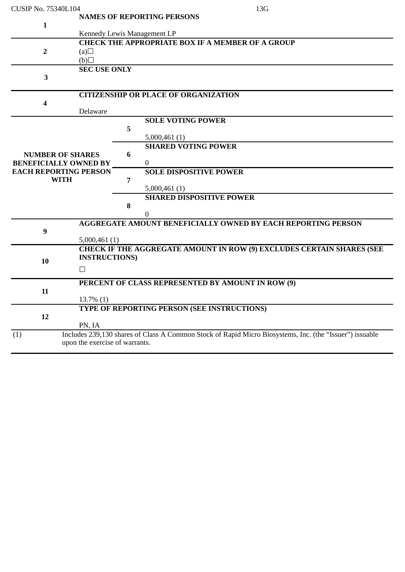| <b>CUSIP No. 75340L104</b>   |                                | 13G                                                                                                     |  |  |  |  |  |
|------------------------------|--------------------------------|---------------------------------------------------------------------------------------------------------|--|--|--|--|--|
|                              |                                | <b>NAMES OF REPORTING PERSONS</b>                                                                       |  |  |  |  |  |
| $\mathbf{1}$                 |                                |                                                                                                         |  |  |  |  |  |
|                              |                                | Kennedy Lewis Management LP                                                                             |  |  |  |  |  |
|                              |                                | <b>CHECK THE APPROPRIATE BOX IF A MEMBER OF A GROUP</b>                                                 |  |  |  |  |  |
| $\overline{2}$               | (a)                            |                                                                                                         |  |  |  |  |  |
|                              | (b)                            |                                                                                                         |  |  |  |  |  |
|                              | <b>SEC USE ONLY</b>            |                                                                                                         |  |  |  |  |  |
| $\overline{\mathbf{3}}$      |                                |                                                                                                         |  |  |  |  |  |
|                              |                                |                                                                                                         |  |  |  |  |  |
|                              |                                | <b>CITIZENSHIP OR PLACE OF ORGANIZATION</b>                                                             |  |  |  |  |  |
| 4                            |                                |                                                                                                         |  |  |  |  |  |
|                              | Delaware                       |                                                                                                         |  |  |  |  |  |
|                              |                                | <b>SOLE VOTING POWER</b>                                                                                |  |  |  |  |  |
|                              |                                | 5                                                                                                       |  |  |  |  |  |
|                              |                                | 5,000,461(1)                                                                                            |  |  |  |  |  |
|                              |                                | <b>SHARED VOTING POWER</b>                                                                              |  |  |  |  |  |
| <b>NUMBER OF SHARES</b>      |                                | 6                                                                                                       |  |  |  |  |  |
| <b>BENEFICIALLY OWNED BY</b> |                                | $\boldsymbol{0}$                                                                                        |  |  |  |  |  |
| <b>EACH REPORTING PERSON</b> |                                | <b>SOLE DISPOSITIVE POWER</b>                                                                           |  |  |  |  |  |
| <b>WITH</b>                  |                                | 7                                                                                                       |  |  |  |  |  |
|                              |                                | 5,000,461(1)                                                                                            |  |  |  |  |  |
|                              |                                | <b>SHARED DISPOSITIVE POWER</b>                                                                         |  |  |  |  |  |
|                              |                                | 8                                                                                                       |  |  |  |  |  |
|                              |                                | $\overline{0}$                                                                                          |  |  |  |  |  |
| $\boldsymbol{9}$             |                                | <b>AGGREGATE AMOUNT BENEFICIALLY OWNED BY EACH REPORTING PERSON</b>                                     |  |  |  |  |  |
|                              | 5,000,461(1)                   |                                                                                                         |  |  |  |  |  |
|                              |                                | CHECK IF THE AGGREGATE AMOUNT IN ROW (9) EXCLUDES CERTAIN SHARES (SEE                                   |  |  |  |  |  |
|                              | <b>INSTRUCTIONS</b> )          |                                                                                                         |  |  |  |  |  |
| 10                           |                                |                                                                                                         |  |  |  |  |  |
|                              | $\Box$                         |                                                                                                         |  |  |  |  |  |
|                              |                                | PERCENT OF CLASS REPRESENTED BY AMOUNT IN ROW (9)                                                       |  |  |  |  |  |
| 11                           |                                |                                                                                                         |  |  |  |  |  |
|                              | $13.7\%$ (1)                   |                                                                                                         |  |  |  |  |  |
|                              |                                | TYPE OF REPORTING PERSON (SEE INSTRUCTIONS)                                                             |  |  |  |  |  |
| 12                           |                                |                                                                                                         |  |  |  |  |  |
|                              | PN, IA                         |                                                                                                         |  |  |  |  |  |
| (1)                          |                                | Includes 239,130 shares of Class A Common Stock of Rapid Micro Biosystems, Inc. (the "Issuer") issuable |  |  |  |  |  |
|                              | upon the exercise of warrants. |                                                                                                         |  |  |  |  |  |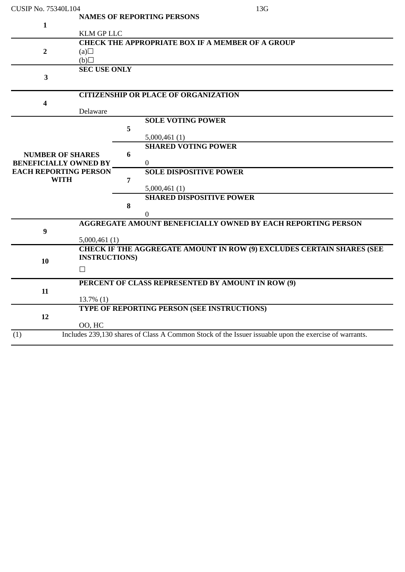| <b>CUSIP No. 75340L104</b>   |                      |   | 13G                                                                                                   |
|------------------------------|----------------------|---|-------------------------------------------------------------------------------------------------------|
|                              |                      |   | <b>NAMES OF REPORTING PERSONS</b>                                                                     |
| $\mathbf{1}$                 |                      |   |                                                                                                       |
|                              | <b>KLM GP LLC</b>    |   |                                                                                                       |
|                              |                      |   | <b>CHECK THE APPROPRIATE BOX IF A MEMBER OF A GROUP</b>                                               |
| $\overline{2}$               | (a)                  |   |                                                                                                       |
|                              | (b)                  |   |                                                                                                       |
|                              | <b>SEC USE ONLY</b>  |   |                                                                                                       |
| 3                            |                      |   |                                                                                                       |
|                              |                      |   |                                                                                                       |
|                              |                      |   | <b>CITIZENSHIP OR PLACE OF ORGANIZATION</b>                                                           |
| $\overline{\mathbf{4}}$      |                      |   |                                                                                                       |
|                              | Delaware             |   |                                                                                                       |
|                              |                      |   | <b>SOLE VOTING POWER</b>                                                                              |
|                              |                      | 5 |                                                                                                       |
|                              |                      |   | 5,000,461(1)<br><b>SHARED VOTING POWER</b>                                                            |
| <b>NUMBER OF SHARES</b>      |                      | 6 |                                                                                                       |
| <b>BENEFICIALLY OWNED BY</b> |                      |   | $\Omega$                                                                                              |
| <b>EACH REPORTING PERSON</b> |                      |   | <b>SOLE DISPOSITIVE POWER</b>                                                                         |
| <b>WITH</b>                  |                      | 7 |                                                                                                       |
|                              |                      |   | 5,000,461(1)                                                                                          |
|                              |                      |   | <b>SHARED DISPOSITIVE POWER</b>                                                                       |
|                              |                      | 8 |                                                                                                       |
|                              |                      |   | $\boldsymbol{0}$                                                                                      |
|                              |                      |   | <b>AGGREGATE AMOUNT BENEFICIALLY OWNED BY EACH REPORTING PERSON</b>                                   |
| $\boldsymbol{9}$             |                      |   |                                                                                                       |
|                              | 5,000,461(1)         |   |                                                                                                       |
|                              |                      |   | CHECK IF THE AGGREGATE AMOUNT IN ROW (9) EXCLUDES CERTAIN SHARES (SEE                                 |
| 10                           | <b>INSTRUCTIONS)</b> |   |                                                                                                       |
| $\Box$                       |                      |   |                                                                                                       |
|                              |                      |   |                                                                                                       |
|                              |                      |   | PERCENT OF CLASS REPRESENTED BY AMOUNT IN ROW (9)                                                     |
| 11                           |                      |   |                                                                                                       |
|                              | $13.7\%$ (1)         |   | TYPE OF REPORTING PERSON (SEE INSTRUCTIONS)                                                           |
| 12                           |                      |   |                                                                                                       |
|                              | OO, HC               |   |                                                                                                       |
| (1)                          |                      |   | Includes 239,130 shares of Class A Common Stock of the Issuer issuable upon the exercise of warrants. |
|                              |                      |   |                                                                                                       |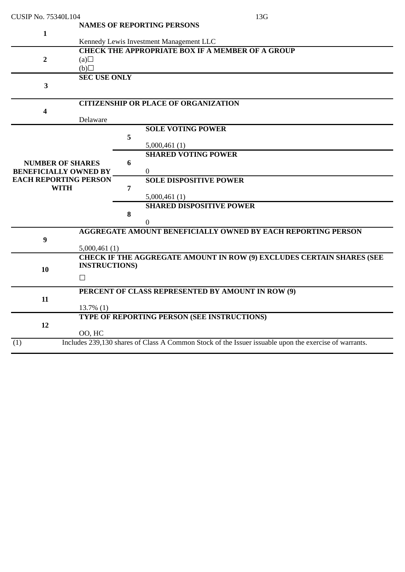| <b>NAMES OF REPORTING PERSONS</b><br>$\mathbf{1}$<br>Kennedy Lewis Investment Management LLC<br><b>CHECK THE APPROPRIATE BOX IF A MEMBER OF A GROUP</b><br>$\overline{2}$<br>(a)<br>(b)<br><b>SEC USE ONLY</b><br>$\overline{\mathbf{3}}$<br><b>CITIZENSHIP OR PLACE OF ORGANIZATION</b><br>4<br>Delaware<br><b>SOLE VOTING POWER</b><br>5<br>5,000,461(1)<br><b>SHARED VOTING POWER</b><br>6<br><b>NUMBER OF SHARES</b><br>$\mathbf{0}$<br><b>BENEFICIALLY OWNED BY</b><br><b>EACH REPORTING PERSON</b><br><b>SOLE DISPOSITIVE POWER</b><br><b>WITH</b><br>7<br>5,000,461(1)<br><b>SHARED DISPOSITIVE POWER</b><br>8<br>$\theta$<br><b>AGGREGATE AMOUNT BENEFICIALLY OWNED BY EACH REPORTING PERSON</b><br>9<br>5,000,461(1)<br><b>CHECK IF THE AGGREGATE AMOUNT IN ROW (9) EXCLUDES CERTAIN SHARES (SEE</b><br><b>INSTRUCTIONS)</b><br>10<br>$\Box$<br>PERCENT OF CLASS REPRESENTED BY AMOUNT IN ROW (9)<br>11<br>$13.7\%$ (1)<br>TYPE OF REPORTING PERSON (SEE INSTRUCTIONS)<br>12<br>00, HC<br>Includes 239,130 shares of Class A Common Stock of the Issuer issuable upon the exercise of warrants.<br>(1) | <b>CUSIP No. 75340L104</b> |  |  | 13G |  |  |
|-----------------------------------------------------------------------------------------------------------------------------------------------------------------------------------------------------------------------------------------------------------------------------------------------------------------------------------------------------------------------------------------------------------------------------------------------------------------------------------------------------------------------------------------------------------------------------------------------------------------------------------------------------------------------------------------------------------------------------------------------------------------------------------------------------------------------------------------------------------------------------------------------------------------------------------------------------------------------------------------------------------------------------------------------------------------------------------------------------------------|----------------------------|--|--|-----|--|--|
|                                                                                                                                                                                                                                                                                                                                                                                                                                                                                                                                                                                                                                                                                                                                                                                                                                                                                                                                                                                                                                                                                                                 |                            |  |  |     |  |  |
|                                                                                                                                                                                                                                                                                                                                                                                                                                                                                                                                                                                                                                                                                                                                                                                                                                                                                                                                                                                                                                                                                                                 |                            |  |  |     |  |  |
|                                                                                                                                                                                                                                                                                                                                                                                                                                                                                                                                                                                                                                                                                                                                                                                                                                                                                                                                                                                                                                                                                                                 |                            |  |  |     |  |  |
|                                                                                                                                                                                                                                                                                                                                                                                                                                                                                                                                                                                                                                                                                                                                                                                                                                                                                                                                                                                                                                                                                                                 |                            |  |  |     |  |  |
|                                                                                                                                                                                                                                                                                                                                                                                                                                                                                                                                                                                                                                                                                                                                                                                                                                                                                                                                                                                                                                                                                                                 |                            |  |  |     |  |  |
|                                                                                                                                                                                                                                                                                                                                                                                                                                                                                                                                                                                                                                                                                                                                                                                                                                                                                                                                                                                                                                                                                                                 |                            |  |  |     |  |  |
|                                                                                                                                                                                                                                                                                                                                                                                                                                                                                                                                                                                                                                                                                                                                                                                                                                                                                                                                                                                                                                                                                                                 |                            |  |  |     |  |  |
|                                                                                                                                                                                                                                                                                                                                                                                                                                                                                                                                                                                                                                                                                                                                                                                                                                                                                                                                                                                                                                                                                                                 |                            |  |  |     |  |  |
|                                                                                                                                                                                                                                                                                                                                                                                                                                                                                                                                                                                                                                                                                                                                                                                                                                                                                                                                                                                                                                                                                                                 |                            |  |  |     |  |  |
|                                                                                                                                                                                                                                                                                                                                                                                                                                                                                                                                                                                                                                                                                                                                                                                                                                                                                                                                                                                                                                                                                                                 |                            |  |  |     |  |  |
|                                                                                                                                                                                                                                                                                                                                                                                                                                                                                                                                                                                                                                                                                                                                                                                                                                                                                                                                                                                                                                                                                                                 |                            |  |  |     |  |  |
|                                                                                                                                                                                                                                                                                                                                                                                                                                                                                                                                                                                                                                                                                                                                                                                                                                                                                                                                                                                                                                                                                                                 |                            |  |  |     |  |  |
|                                                                                                                                                                                                                                                                                                                                                                                                                                                                                                                                                                                                                                                                                                                                                                                                                                                                                                                                                                                                                                                                                                                 |                            |  |  |     |  |  |
|                                                                                                                                                                                                                                                                                                                                                                                                                                                                                                                                                                                                                                                                                                                                                                                                                                                                                                                                                                                                                                                                                                                 |                            |  |  |     |  |  |
|                                                                                                                                                                                                                                                                                                                                                                                                                                                                                                                                                                                                                                                                                                                                                                                                                                                                                                                                                                                                                                                                                                                 |                            |  |  |     |  |  |
|                                                                                                                                                                                                                                                                                                                                                                                                                                                                                                                                                                                                                                                                                                                                                                                                                                                                                                                                                                                                                                                                                                                 |                            |  |  |     |  |  |
|                                                                                                                                                                                                                                                                                                                                                                                                                                                                                                                                                                                                                                                                                                                                                                                                                                                                                                                                                                                                                                                                                                                 |                            |  |  |     |  |  |
|                                                                                                                                                                                                                                                                                                                                                                                                                                                                                                                                                                                                                                                                                                                                                                                                                                                                                                                                                                                                                                                                                                                 |                            |  |  |     |  |  |
|                                                                                                                                                                                                                                                                                                                                                                                                                                                                                                                                                                                                                                                                                                                                                                                                                                                                                                                                                                                                                                                                                                                 |                            |  |  |     |  |  |
|                                                                                                                                                                                                                                                                                                                                                                                                                                                                                                                                                                                                                                                                                                                                                                                                                                                                                                                                                                                                                                                                                                                 |                            |  |  |     |  |  |
|                                                                                                                                                                                                                                                                                                                                                                                                                                                                                                                                                                                                                                                                                                                                                                                                                                                                                                                                                                                                                                                                                                                 |                            |  |  |     |  |  |
|                                                                                                                                                                                                                                                                                                                                                                                                                                                                                                                                                                                                                                                                                                                                                                                                                                                                                                                                                                                                                                                                                                                 |                            |  |  |     |  |  |
|                                                                                                                                                                                                                                                                                                                                                                                                                                                                                                                                                                                                                                                                                                                                                                                                                                                                                                                                                                                                                                                                                                                 |                            |  |  |     |  |  |
|                                                                                                                                                                                                                                                                                                                                                                                                                                                                                                                                                                                                                                                                                                                                                                                                                                                                                                                                                                                                                                                                                                                 |                            |  |  |     |  |  |
|                                                                                                                                                                                                                                                                                                                                                                                                                                                                                                                                                                                                                                                                                                                                                                                                                                                                                                                                                                                                                                                                                                                 |                            |  |  |     |  |  |
|                                                                                                                                                                                                                                                                                                                                                                                                                                                                                                                                                                                                                                                                                                                                                                                                                                                                                                                                                                                                                                                                                                                 |                            |  |  |     |  |  |
|                                                                                                                                                                                                                                                                                                                                                                                                                                                                                                                                                                                                                                                                                                                                                                                                                                                                                                                                                                                                                                                                                                                 |                            |  |  |     |  |  |
|                                                                                                                                                                                                                                                                                                                                                                                                                                                                                                                                                                                                                                                                                                                                                                                                                                                                                                                                                                                                                                                                                                                 |                            |  |  |     |  |  |
|                                                                                                                                                                                                                                                                                                                                                                                                                                                                                                                                                                                                                                                                                                                                                                                                                                                                                                                                                                                                                                                                                                                 |                            |  |  |     |  |  |
|                                                                                                                                                                                                                                                                                                                                                                                                                                                                                                                                                                                                                                                                                                                                                                                                                                                                                                                                                                                                                                                                                                                 |                            |  |  |     |  |  |
|                                                                                                                                                                                                                                                                                                                                                                                                                                                                                                                                                                                                                                                                                                                                                                                                                                                                                                                                                                                                                                                                                                                 |                            |  |  |     |  |  |
|                                                                                                                                                                                                                                                                                                                                                                                                                                                                                                                                                                                                                                                                                                                                                                                                                                                                                                                                                                                                                                                                                                                 |                            |  |  |     |  |  |
|                                                                                                                                                                                                                                                                                                                                                                                                                                                                                                                                                                                                                                                                                                                                                                                                                                                                                                                                                                                                                                                                                                                 |                            |  |  |     |  |  |
|                                                                                                                                                                                                                                                                                                                                                                                                                                                                                                                                                                                                                                                                                                                                                                                                                                                                                                                                                                                                                                                                                                                 |                            |  |  |     |  |  |
|                                                                                                                                                                                                                                                                                                                                                                                                                                                                                                                                                                                                                                                                                                                                                                                                                                                                                                                                                                                                                                                                                                                 |                            |  |  |     |  |  |
|                                                                                                                                                                                                                                                                                                                                                                                                                                                                                                                                                                                                                                                                                                                                                                                                                                                                                                                                                                                                                                                                                                                 |                            |  |  |     |  |  |
|                                                                                                                                                                                                                                                                                                                                                                                                                                                                                                                                                                                                                                                                                                                                                                                                                                                                                                                                                                                                                                                                                                                 |                            |  |  |     |  |  |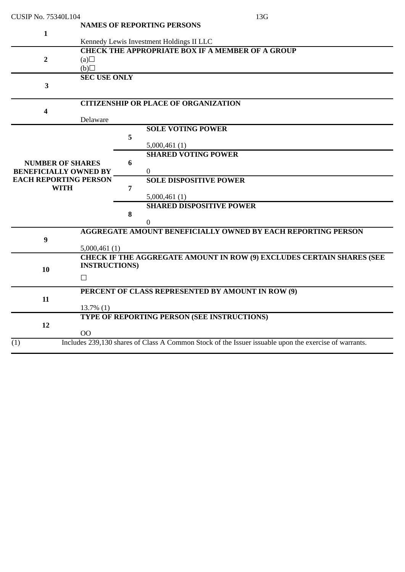| <b>CUSIP No. 75340L104</b>   |                                                         |   | 13G                                                                                                   |  |  |  |
|------------------------------|---------------------------------------------------------|---|-------------------------------------------------------------------------------------------------------|--|--|--|
|                              |                                                         |   | <b>NAMES OF REPORTING PERSONS</b>                                                                     |  |  |  |
| $\mathbf{1}$                 |                                                         |   | Kennedy Lewis Investment Holdings II LLC                                                              |  |  |  |
|                              | <b>CHECK THE APPROPRIATE BOX IF A MEMBER OF A GROUP</b> |   |                                                                                                       |  |  |  |
| 2                            | (a)                                                     |   |                                                                                                       |  |  |  |
|                              | (b)                                                     |   |                                                                                                       |  |  |  |
|                              | <b>SEC USE ONLY</b>                                     |   |                                                                                                       |  |  |  |
| $\overline{\mathbf{3}}$      |                                                         |   |                                                                                                       |  |  |  |
|                              |                                                         |   | <b>CITIZENSHIP OR PLACE OF ORGANIZATION</b>                                                           |  |  |  |
| 4                            |                                                         |   |                                                                                                       |  |  |  |
|                              | Delaware                                                |   |                                                                                                       |  |  |  |
|                              |                                                         |   | <b>SOLE VOTING POWER</b>                                                                              |  |  |  |
|                              |                                                         | 5 | 5,000,461(1)                                                                                          |  |  |  |
|                              |                                                         |   | <b>SHARED VOTING POWER</b>                                                                            |  |  |  |
| <b>NUMBER OF SHARES</b>      |                                                         | 6 |                                                                                                       |  |  |  |
| <b>BENEFICIALLY OWNED BY</b> |                                                         |   | $\mathbf{0}$                                                                                          |  |  |  |
| <b>EACH REPORTING PERSON</b> |                                                         |   | <b>SOLE DISPOSITIVE POWER</b>                                                                         |  |  |  |
| <b>WITH</b>                  |                                                         | 7 |                                                                                                       |  |  |  |
|                              |                                                         |   | 5,000,461(1)                                                                                          |  |  |  |
|                              |                                                         |   | <b>SHARED DISPOSITIVE POWER</b>                                                                       |  |  |  |
|                              |                                                         | 8 |                                                                                                       |  |  |  |
|                              |                                                         |   | 0                                                                                                     |  |  |  |
| 9                            |                                                         |   | <b>AGGREGATE AMOUNT BENEFICIALLY OWNED BY EACH REPORTING PERSON</b>                                   |  |  |  |
|                              | 5,000,461(1)                                            |   |                                                                                                       |  |  |  |
|                              |                                                         |   | <b>CHECK IF THE AGGREGATE AMOUNT IN ROW (9) EXCLUDES CERTAIN SHARES (SEE</b>                          |  |  |  |
| 10                           | <b>INSTRUCTIONS</b> )                                   |   |                                                                                                       |  |  |  |
|                              | $\Box$                                                  |   |                                                                                                       |  |  |  |
|                              |                                                         |   | PERCENT OF CLASS REPRESENTED BY AMOUNT IN ROW (9)                                                     |  |  |  |
| 11                           |                                                         |   |                                                                                                       |  |  |  |
|                              | $13.7\%$ $(1)$                                          |   |                                                                                                       |  |  |  |
|                              |                                                         |   | TYPE OF REPORTING PERSON (SEE INSTRUCTIONS)                                                           |  |  |  |
| 12                           | 00                                                      |   |                                                                                                       |  |  |  |
| (1)                          |                                                         |   | Includes 239,130 shares of Class A Common Stock of the Issuer issuable upon the exercise of warrants. |  |  |  |
|                              |                                                         |   |                                                                                                       |  |  |  |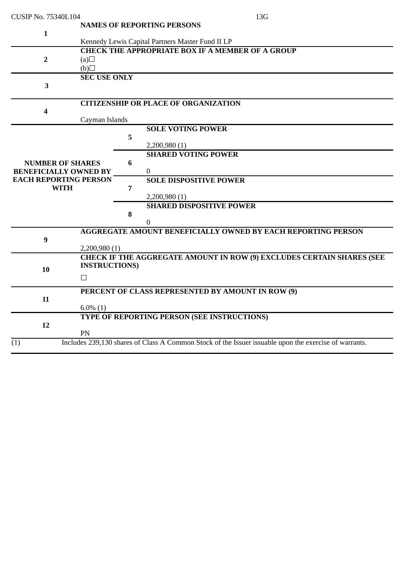| <b>CUSIP No. 75340L104</b>                              |                                                                                                                           |   | 13G                                                                                                   |  |  |  |  |
|---------------------------------------------------------|---------------------------------------------------------------------------------------------------------------------------|---|-------------------------------------------------------------------------------------------------------|--|--|--|--|
| $\mathbf{1}$                                            | <b>NAMES OF REPORTING PERSONS</b>                                                                                         |   |                                                                                                       |  |  |  |  |
| $\overline{\mathbf{2}}$                                 | Kennedy Lewis Capital Partners Master Fund II LP<br><b>CHECK THE APPROPRIATE BOX IF A MEMBER OF A GROUP</b><br>(a)<br>(b) |   |                                                                                                       |  |  |  |  |
| 3                                                       | <b>SEC USE ONLY</b>                                                                                                       |   |                                                                                                       |  |  |  |  |
| 4                                                       |                                                                                                                           |   | <b>CITIZENSHIP OR PLACE OF ORGANIZATION</b>                                                           |  |  |  |  |
|                                                         | Cayman Islands                                                                                                            | 5 | <b>SOLE VOTING POWER</b><br>2,200,980(1)                                                              |  |  |  |  |
| <b>NUMBER OF SHARES</b><br><b>BENEFICIALLY OWNED BY</b> |                                                                                                                           | 6 | <b>SHARED VOTING POWER</b><br>$\Omega$                                                                |  |  |  |  |
| <b>EACH REPORTING PERSON</b><br><b>WITH</b>             |                                                                                                                           | 7 | <b>SOLE DISPOSITIVE POWER</b><br>2,200,980 (1)                                                        |  |  |  |  |
|                                                         |                                                                                                                           | 8 | <b>SHARED DISPOSITIVE POWER</b><br>0                                                                  |  |  |  |  |
| 9                                                       | 2,200,980(1)                                                                                                              |   | <b>AGGREGATE AMOUNT BENEFICIALLY OWNED BY EACH REPORTING PERSON</b>                                   |  |  |  |  |
| 10                                                      | <b>INSTRUCTIONS)</b><br>$\Box$                                                                                            |   | CHECK IF THE AGGREGATE AMOUNT IN ROW (9) EXCLUDES CERTAIN SHARES (SEE                                 |  |  |  |  |
| 11                                                      | PERCENT OF CLASS REPRESENTED BY AMOUNT IN ROW (9)<br>$6.0\%$ (1)                                                          |   |                                                                                                       |  |  |  |  |
| 12                                                      | PN                                                                                                                        |   | TYPE OF REPORTING PERSON (SEE INSTRUCTIONS)                                                           |  |  |  |  |
| (1)                                                     |                                                                                                                           |   | Includes 239,130 shares of Class A Common Stock of the Issuer issuable upon the exercise of warrants. |  |  |  |  |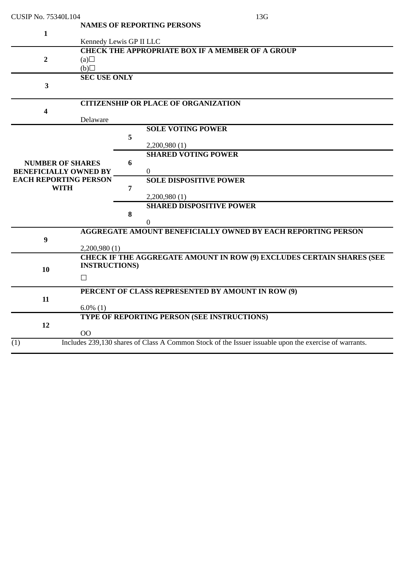| CUSIP No. 75340L104          |                                                         |   | 13G                                                                                                   |  |  |  |
|------------------------------|---------------------------------------------------------|---|-------------------------------------------------------------------------------------------------------|--|--|--|
|                              |                                                         |   | <b>NAMES OF REPORTING PERSONS</b>                                                                     |  |  |  |
| $\mathbf{1}$                 |                                                         |   |                                                                                                       |  |  |  |
|                              | Kennedy Lewis GP II LLC                                 |   |                                                                                                       |  |  |  |
|                              | <b>CHECK THE APPROPRIATE BOX IF A MEMBER OF A GROUP</b> |   |                                                                                                       |  |  |  |
| $\overline{2}$               | (a)                                                     |   |                                                                                                       |  |  |  |
|                              | $\Box$ (d)                                              |   |                                                                                                       |  |  |  |
|                              | <b>SEC USE ONLY</b>                                     |   |                                                                                                       |  |  |  |
| 3                            |                                                         |   |                                                                                                       |  |  |  |
|                              |                                                         |   |                                                                                                       |  |  |  |
|                              |                                                         |   | <b>CITIZENSHIP OR PLACE OF ORGANIZATION</b>                                                           |  |  |  |
| 4                            |                                                         |   |                                                                                                       |  |  |  |
|                              | Delaware                                                |   |                                                                                                       |  |  |  |
|                              |                                                         |   | <b>SOLE VOTING POWER</b>                                                                              |  |  |  |
|                              |                                                         | 5 |                                                                                                       |  |  |  |
|                              |                                                         |   | 2,200,980 (1)                                                                                         |  |  |  |
|                              |                                                         |   | <b>SHARED VOTING POWER</b>                                                                            |  |  |  |
| <b>NUMBER OF SHARES</b>      |                                                         | 6 |                                                                                                       |  |  |  |
| <b>BENEFICIALLY OWNED BY</b> |                                                         |   | $\overline{0}$                                                                                        |  |  |  |
| <b>EACH REPORTING PERSON</b> |                                                         |   | <b>SOLE DISPOSITIVE POWER</b>                                                                         |  |  |  |
| <b>WITH</b>                  |                                                         | 7 |                                                                                                       |  |  |  |
|                              |                                                         |   | 2,200,980 (1)                                                                                         |  |  |  |
|                              |                                                         |   | <b>SHARED DISPOSITIVE POWER</b>                                                                       |  |  |  |
|                              |                                                         | 8 |                                                                                                       |  |  |  |
|                              |                                                         |   | $\Omega$                                                                                              |  |  |  |
|                              |                                                         |   | <b>AGGREGATE AMOUNT BENEFICIALLY OWNED BY EACH REPORTING PERSON</b>                                   |  |  |  |
| $\boldsymbol{9}$             |                                                         |   |                                                                                                       |  |  |  |
|                              | 2,200,980(1)                                            |   |                                                                                                       |  |  |  |
|                              |                                                         |   | <b>CHECK IF THE AGGREGATE AMOUNT IN ROW (9) EXCLUDES CERTAIN SHARES (SEE</b>                          |  |  |  |
| 10                           | <b>INSTRUCTIONS</b>                                     |   |                                                                                                       |  |  |  |
|                              | $\Box$                                                  |   |                                                                                                       |  |  |  |
|                              |                                                         |   | PERCENT OF CLASS REPRESENTED BY AMOUNT IN ROW (9)                                                     |  |  |  |
| 11                           |                                                         |   |                                                                                                       |  |  |  |
|                              | $6.0\%$ (1)                                             |   |                                                                                                       |  |  |  |
|                              |                                                         |   | TYPE OF REPORTING PERSON (SEE INSTRUCTIONS)                                                           |  |  |  |
| 12                           |                                                         |   |                                                                                                       |  |  |  |
|                              | <b>OO</b>                                               |   |                                                                                                       |  |  |  |
| (1)                          |                                                         |   | Includes 239,130 shares of Class A Common Stock of the Issuer issuable upon the exercise of warrants. |  |  |  |
|                              |                                                         |   |                                                                                                       |  |  |  |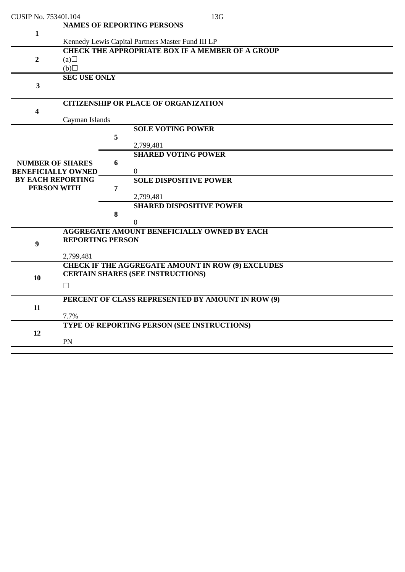| CUSIP No. 75340L104       |                                          |   | 13G                                                     |  |  |  |  |
|---------------------------|------------------------------------------|---|---------------------------------------------------------|--|--|--|--|
|                           |                                          |   | <b>NAMES OF REPORTING PERSONS</b>                       |  |  |  |  |
| $\mathbf{1}$              |                                          |   |                                                         |  |  |  |  |
|                           |                                          |   | Kennedy Lewis Capital Partners Master Fund III LP       |  |  |  |  |
|                           |                                          |   | <b>CHECK THE APPROPRIATE BOX IF A MEMBER OF A GROUP</b> |  |  |  |  |
| $\overline{2}$            | (a)                                      |   |                                                         |  |  |  |  |
|                           |                                          |   |                                                         |  |  |  |  |
|                           | (b)                                      |   |                                                         |  |  |  |  |
|                           | <b>SEC USE ONLY</b>                      |   |                                                         |  |  |  |  |
| 3                         |                                          |   |                                                         |  |  |  |  |
|                           |                                          |   |                                                         |  |  |  |  |
|                           |                                          |   | <b>CITIZENSHIP OR PLACE OF ORGANIZATION</b>             |  |  |  |  |
| 4                         |                                          |   |                                                         |  |  |  |  |
|                           | Cayman Islands                           |   |                                                         |  |  |  |  |
|                           |                                          |   | <b>SOLE VOTING POWER</b>                                |  |  |  |  |
|                           |                                          | 5 |                                                         |  |  |  |  |
|                           |                                          |   | 2,799,481                                               |  |  |  |  |
|                           |                                          |   | <b>SHARED VOTING POWER</b>                              |  |  |  |  |
| <b>NUMBER OF SHARES</b>   |                                          | 6 |                                                         |  |  |  |  |
| <b>BENEFICIALLY OWNED</b> |                                          |   | $\overline{0}$                                          |  |  |  |  |
| <b>BY EACH REPORTING</b>  |                                          |   | <b>SOLE DISPOSITIVE POWER</b>                           |  |  |  |  |
| <b>PERSON WITH</b>        |                                          | 7 |                                                         |  |  |  |  |
|                           |                                          |   | 2,799,481                                               |  |  |  |  |
|                           |                                          |   | <b>SHARED DISPOSITIVE POWER</b>                         |  |  |  |  |
|                           |                                          | 8 |                                                         |  |  |  |  |
|                           |                                          |   | 0                                                       |  |  |  |  |
|                           |                                          |   | <b>AGGREGATE AMOUNT BENEFICIALLY OWNED BY EACH</b>      |  |  |  |  |
|                           | <b>REPORTING PERSON</b>                  |   |                                                         |  |  |  |  |
| 9                         |                                          |   |                                                         |  |  |  |  |
|                           | 2,799,481                                |   |                                                         |  |  |  |  |
|                           |                                          |   | CHECK IF THE AGGREGATE AMOUNT IN ROW (9) EXCLUDES       |  |  |  |  |
|                           | <b>CERTAIN SHARES (SEE INSTRUCTIONS)</b> |   |                                                         |  |  |  |  |
| 10                        |                                          |   |                                                         |  |  |  |  |
|                           | $\Box$                                   |   |                                                         |  |  |  |  |
|                           |                                          |   | PERCENT OF CLASS REPRESENTED BY AMOUNT IN ROW (9)       |  |  |  |  |
| 11                        |                                          |   |                                                         |  |  |  |  |
|                           | 7.7%                                     |   |                                                         |  |  |  |  |
|                           |                                          |   | TYPE OF REPORTING PERSON (SEE INSTRUCTIONS)             |  |  |  |  |
| 12                        |                                          |   |                                                         |  |  |  |  |
|                           | PN                                       |   |                                                         |  |  |  |  |
|                           |                                          |   |                                                         |  |  |  |  |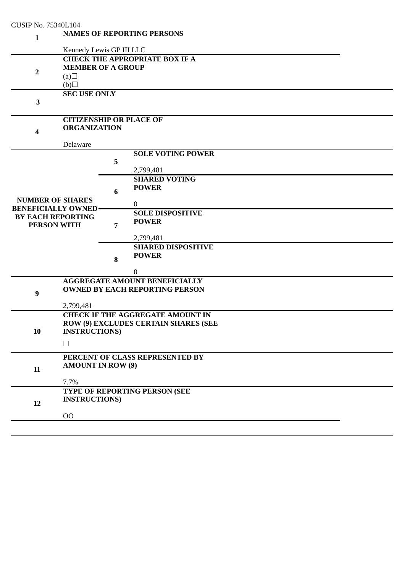| <b>CUSIP No. 75340L104</b>                            |                                                                                                                                 |                          |                                                                               |  |  |  |  |  |
|-------------------------------------------------------|---------------------------------------------------------------------------------------------------------------------------------|--------------------------|-------------------------------------------------------------------------------|--|--|--|--|--|
| 1                                                     | <b>NAMES OF REPORTING PERSONS</b>                                                                                               |                          |                                                                               |  |  |  |  |  |
|                                                       |                                                                                                                                 | Kennedy Lewis GP III LLC |                                                                               |  |  |  |  |  |
| $\overline{2}$                                        | <b>CHECK THE APPROPRIATE BOX IF A</b><br><b>MEMBER OF A GROUP</b><br>(a)<br>(b)                                                 |                          |                                                                               |  |  |  |  |  |
| $\mathbf{3}$                                          | <b>SEC USE ONLY</b>                                                                                                             |                          |                                                                               |  |  |  |  |  |
| $\overline{\mathbf{4}}$                               | <b>CITIZENSHIP OR PLACE OF</b><br><b>ORGANIZATION</b>                                                                           |                          |                                                                               |  |  |  |  |  |
|                                                       | Delaware                                                                                                                        |                          |                                                                               |  |  |  |  |  |
|                                                       |                                                                                                                                 | 5                        | <b>SOLE VOTING POWER</b><br>2,799,481                                         |  |  |  |  |  |
| <b>NUMBER OF SHARES</b><br><b>BENEFICIALLY OWNED-</b> |                                                                                                                                 | 6                        | <b>SHARED VOTING</b><br><b>POWER</b><br>$\mathbf{0}$                          |  |  |  |  |  |
| <b>BY EACH REPORTING</b><br><b>PERSON WITH</b>        |                                                                                                                                 | $\overline{7}$           | <b>SOLE DISPOSITIVE</b><br><b>POWER</b><br>2,799,481                          |  |  |  |  |  |
|                                                       |                                                                                                                                 | 8                        | <b>SHARED DISPOSITIVE</b><br><b>POWER</b><br>$\boldsymbol{0}$                 |  |  |  |  |  |
| $\boldsymbol{9}$                                      |                                                                                                                                 |                          | <b>AGGREGATE AMOUNT BENEFICIALLY</b><br><b>OWNED BY EACH REPORTING PERSON</b> |  |  |  |  |  |
| 10                                                    | 2,799,481<br><b>CHECK IF THE AGGREGATE AMOUNT IN</b><br>ROW (9) EXCLUDES CERTAIN SHARES (SEE<br><b>INSTRUCTIONS</b> )<br>$\Box$ |                          |                                                                               |  |  |  |  |  |
| 11                                                    | PERCENT OF CLASS REPRESENTED BY<br><b>AMOUNT IN ROW (9)</b><br>7.7%                                                             |                          |                                                                               |  |  |  |  |  |
| 12                                                    | <b>INSTRUCTIONS</b> )<br>O <sub>O</sub>                                                                                         |                          | TYPE OF REPORTING PERSON (SEE                                                 |  |  |  |  |  |
|                                                       |                                                                                                                                 |                          |                                                                               |  |  |  |  |  |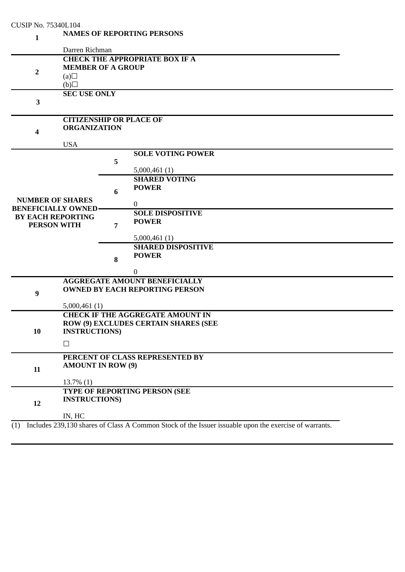| <b>CUSIP No. 75340L104</b>                     |                                                                                 |   |                                                                                                       |  |  |  |  |  |
|------------------------------------------------|---------------------------------------------------------------------------------|---|-------------------------------------------------------------------------------------------------------|--|--|--|--|--|
| $\mathbf{1}$                                   |                                                                                 |   | <b>NAMES OF REPORTING PERSONS</b>                                                                     |  |  |  |  |  |
|                                                | Darren Richman                                                                  |   |                                                                                                       |  |  |  |  |  |
| $\overline{2}$                                 | <b>CHECK THE APPROPRIATE BOX IF A</b><br><b>MEMBER OF A GROUP</b><br>(a)<br>(b) |   |                                                                                                       |  |  |  |  |  |
| 3                                              | <b>SEC USE ONLY</b>                                                             |   |                                                                                                       |  |  |  |  |  |
| $\overline{\mathbf{4}}$                        | <b>CITIZENSHIP OR PLACE OF</b><br><b>ORGANIZATION</b>                           |   |                                                                                                       |  |  |  |  |  |
|                                                | <b>USA</b>                                                                      |   |                                                                                                       |  |  |  |  |  |
|                                                |                                                                                 | 5 | <b>SOLE VOTING POWER</b><br>5,000,461(1)                                                              |  |  |  |  |  |
| <b>NUMBER OF SHARES</b>                        |                                                                                 | 6 | <b>SHARED VOTING</b><br><b>POWER</b>                                                                  |  |  |  |  |  |
| <b>BENEFICIALLY OWNED-</b>                     |                                                                                 |   | $\mathbf{0}$<br><b>SOLE DISPOSITIVE</b>                                                               |  |  |  |  |  |
| <b>BY EACH REPORTING</b><br><b>PERSON WITH</b> |                                                                                 | 7 | <b>POWER</b>                                                                                          |  |  |  |  |  |
|                                                |                                                                                 | 8 | 5,000,461(1)<br><b>SHARED DISPOSITIVE</b><br><b>POWER</b><br>$\boldsymbol{0}$                         |  |  |  |  |  |
|                                                |                                                                                 |   | <b>AGGREGATE AMOUNT BENEFICIALLY</b>                                                                  |  |  |  |  |  |
| $\boldsymbol{9}$                               |                                                                                 |   | <b>OWNED BY EACH REPORTING PERSON</b>                                                                 |  |  |  |  |  |
|                                                | 5,000,461(1)                                                                    |   |                                                                                                       |  |  |  |  |  |
| 10                                             | <b>INSTRUCTIONS)</b>                                                            |   | <b>CHECK IF THE AGGREGATE AMOUNT IN</b><br>ROW (9) EXCLUDES CERTAIN SHARES (SEE                       |  |  |  |  |  |
|                                                | $\Box$                                                                          |   |                                                                                                       |  |  |  |  |  |
| 11                                             | PERCENT OF CLASS REPRESENTED BY<br><b>AMOUNT IN ROW (9)</b>                     |   |                                                                                                       |  |  |  |  |  |
|                                                | $13.7\%$ (1)                                                                    |   |                                                                                                       |  |  |  |  |  |
| 12                                             | <b>INSTRUCTIONS</b> )                                                           |   | TYPE OF REPORTING PERSON (SEE                                                                         |  |  |  |  |  |
|                                                | IN, HC                                                                          |   |                                                                                                       |  |  |  |  |  |
| (1)                                            |                                                                                 |   | Includes 239,130 shares of Class A Common Stock of the Issuer issuable upon the exercise of warrants. |  |  |  |  |  |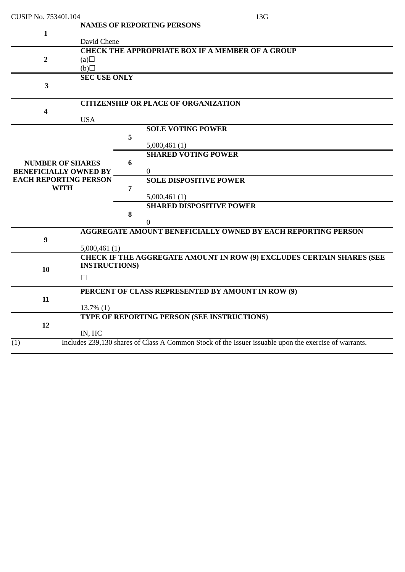| <b>CUSIP No. 75340L104</b>                              |                                                                              |   | 13G                                                                                                   |  |  |  |
|---------------------------------------------------------|------------------------------------------------------------------------------|---|-------------------------------------------------------------------------------------------------------|--|--|--|
| $\mathbf{1}$                                            | David Chene                                                                  |   | <b>NAMES OF REPORTING PERSONS</b>                                                                     |  |  |  |
| $\overline{2}$                                          | <b>CHECK THE APPROPRIATE BOX IF A MEMBER OF A GROUP</b><br>(a)<br>$\Box$ (d) |   |                                                                                                       |  |  |  |
| $\overline{\mathbf{3}}$                                 | <b>SEC USE ONLY</b>                                                          |   |                                                                                                       |  |  |  |
| 4                                                       | <b>USA</b>                                                                   |   | <b>CITIZENSHIP OR PLACE OF ORGANIZATION</b>                                                           |  |  |  |
|                                                         |                                                                              | 5 | <b>SOLE VOTING POWER</b><br>5,000,461(1)                                                              |  |  |  |
| <b>NUMBER OF SHARES</b><br><b>BENEFICIALLY OWNED BY</b> |                                                                              | 6 | <b>SHARED VOTING POWER</b><br>$\mathbf{0}$                                                            |  |  |  |
| <b>EACH REPORTING PERSON</b><br><b>WITH</b>             |                                                                              | 7 | <b>SOLE DISPOSITIVE POWER</b><br>5,000,461(1)                                                         |  |  |  |
|                                                         |                                                                              | 8 | <b>SHARED DISPOSITIVE POWER</b><br>$\Omega$                                                           |  |  |  |
| $\boldsymbol{9}$                                        | 5,000,461(1)                                                                 |   | <b>AGGREGATE AMOUNT BENEFICIALLY OWNED BY EACH REPORTING PERSON</b>                                   |  |  |  |
| 10                                                      | <b>INSTRUCTIONS)</b><br>$\Box$                                               |   | CHECK IF THE AGGREGATE AMOUNT IN ROW (9) EXCLUDES CERTAIN SHARES (SEE                                 |  |  |  |
| 11                                                      | PERCENT OF CLASS REPRESENTED BY AMOUNT IN ROW (9)<br>$13.7\%$ (1)            |   |                                                                                                       |  |  |  |
| 12                                                      | IN, HC                                                                       |   | TYPE OF REPORTING PERSON (SEE INSTRUCTIONS)                                                           |  |  |  |
| (1)                                                     |                                                                              |   | Includes 239,130 shares of Class A Common Stock of the Issuer issuable upon the exercise of warrants. |  |  |  |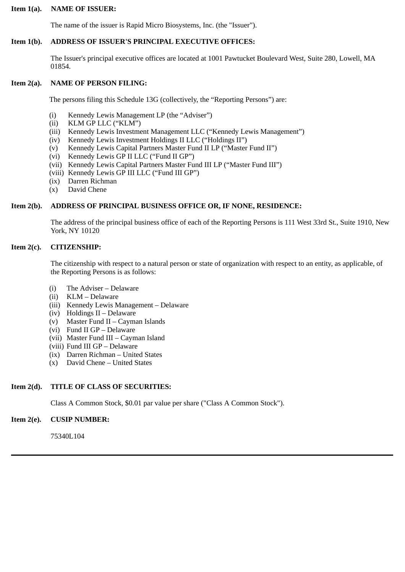### **Item 1(a). NAME OF ISSUER:**

The name of the issuer is Rapid Micro Biosystems, Inc. (the "Issuer").

# **Item 1(b). ADDRESS OF ISSUER'S PRINCIPAL EXECUTIVE OFFICES:**

The Issuer's principal executive offices are located at 1001 Pawtucket Boulevard West, Suite 280, Lowell, MA 01854.

# **Item 2(a). NAME OF PERSON FILING:**

The persons filing this Schedule 13G (collectively, the "Reporting Persons") are:

- (i) Kennedy Lewis Management LP (the "Adviser")
- (ii) KLM GP LLC ("KLM")
- (iii) Kennedy Lewis Investment Management LLC ("Kennedy Lewis Management")
- (iv) Kennedy Lewis Investment Holdings II LLC ("Holdings II")
- (v) Kennedy Lewis Capital Partners Master Fund II LP ("Master Fund II")
- (vi) Kennedy Lewis GP II LLC ("Fund II GP")
- (vii) Kennedy Lewis Capital Partners Master Fund III LP ("Master Fund III")
- (viii) Kennedy Lewis GP III LLC ("Fund III GP")
- (ix) Darren Richman
- (x) David Chene

### **Item 2(b). ADDRESS OF PRINCIPAL BUSINESS OFFICE OR, IF NONE, RESIDENCE:**

The address of the principal business office of each of the Reporting Persons is 111 West 33rd St., Suite 1910, New York, NY 10120

### **Item 2(c). CITIZENSHIP:**

The citizenship with respect to a natural person or state of organization with respect to an entity, as applicable, of the Reporting Persons is as follows:

- (i) The Adviser Delaware
- (ii) KLM Delaware
- (iii) Kennedy Lewis Management Delaware
- (iv) Holdings II Delaware
- (v) Master Fund II Cayman Islands
- (vi) Fund II GP Delaware
- (vii) Master Fund III Cayman Island
- (viii) Fund III GP Delaware
- (ix) Darren Richman United States
- (x) David Chene United States

# **Item 2(d). TITLE OF CLASS OF SECURITIES:**

Class A Common Stock, \$0.01 par value per share ("Class A Common Stock").

### **Item 2(e). CUSIP NUMBER:**

75340L104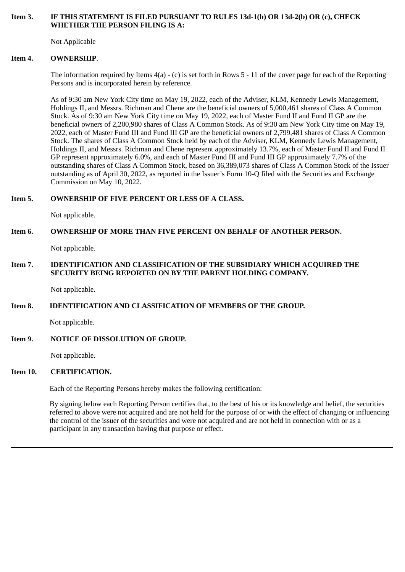### **Item 3. IF THIS STATEMENT IS FILED PURSUANT TO RULES 13d-1(b) OR 13d-2(b) OR (c), CHECK WHETHER THE PERSON FILING IS A:**

Not Applicable

### **Item 4. OWNERSHIP**.

The information required by Items  $4(a)$  - (c) is set forth in Rows 5 - 11 of the cover page for each of the Reporting Persons and is incorporated herein by reference.

As of 9:30 am New York City time on May 19, 2022, each of the Adviser, KLM, Kennedy Lewis Management, Holdings II, and Messrs. Richman and Chene are the beneficial owners of 5,000,461 shares of Class A Common Stock. As of 9:30 am New York City time on May 19, 2022, each of Master Fund II and Fund II GP are the beneficial owners of 2,200,980 shares of Class A Common Stock. As of 9:30 am New York City time on May 19, 2022, each of Master Fund III and Fund III GP are the beneficial owners of 2,799,481 shares of Class A Common Stock. The shares of Class A Common Stock held by each of the Adviser, KLM, Kennedy Lewis Management, Holdings II, and Messrs. Richman and Chene represent approximately 13.7%, each of Master Fund II and Fund II GP represent approximately 6.0%, and each of Master Fund III and Fund III GP approximately 7.7% of the outstanding shares of Class A Common Stock, based on 36,389,073 shares of Class A Common Stock of the Issuer outstanding as of April 30, 2022, as reported in the Issuer's Form 10-Q filed with the Securities and Exchange Commission on May 10, 2022.

# **Item 5. OWNERSHIP OF FIVE PERCENT OR LESS OF A CLASS.**

Not applicable.

# **Item 6. OWNERSHIP OF MORE THAN FIVE PERCENT ON BEHALF OF ANOTHER PERSON.**

Not applicable.

# **Item 7. IDENTIFICATION AND CLASSIFICATION OF THE SUBSIDIARY WHICH ACQUIRED THE SECURITY BEING REPORTED ON BY THE PARENT HOLDING COMPANY.**

Not applicable.

# **Item 8. IDENTIFICATION AND CLASSIFICATION OF MEMBERS OF THE GROUP.**

Not applicable.

# **Item 9. NOTICE OF DISSOLUTION OF GROUP.**

Not applicable.

# **Item 10. CERTIFICATION.**

Each of the Reporting Persons hereby makes the following certification:

By signing below each Reporting Person certifies that, to the best of his or its knowledge and belief, the securities referred to above were not acquired and are not held for the purpose of or with the effect of changing or influencing the control of the issuer of the securities and were not acquired and are not held in connection with or as a participant in any transaction having that purpose or effect.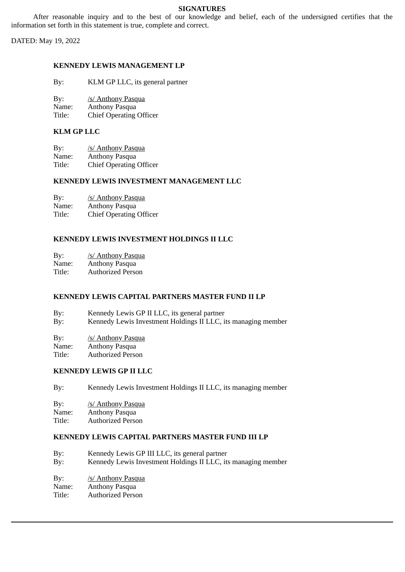# **SIGNATURES**

After reasonable inquiry and to the best of our knowledge and belief, each of the undersigned certifies that the information set forth in this statement is true, complete and correct.

DATED: May 19, 2022

# **KENNEDY LEWIS MANAGEMENT LP**

| By: | KLM GP LLC, its general partner |  |  |
|-----|---------------------------------|--|--|
|-----|---------------------------------|--|--|

| By: | /s/ Anthony Pasqua |
|-----|--------------------|
|     |                    |

Name: Anthony Pasqua

Title: Chief Operating Officer

# **KLM GP LLC**

| By:    | /s/ Anthony Pasqua             |
|--------|--------------------------------|
| Name:  | Anthony Pasqua                 |
| Title: | <b>Chief Operating Officer</b> |

#### **KENNEDY LEWIS INVESTMENT MANAGEMENT LLC**

| By:    | /s/ Anthony Pasqua             |
|--------|--------------------------------|
| Name:  | Anthony Pasqua                 |
| Title: | <b>Chief Operating Officer</b> |

### **KENNEDY LEWIS INVESTMENT HOLDINGS II LLC**

By: /s/ Anthony Pasqua

Name: Anthony Pasqua<br>Title: Authorized Perso Authorized Person

# **KENNEDY LEWIS CAPITAL PARTNERS MASTER FUND II LP**

| By: | Kennedy Lewis GP II LLC, its general partner                  |
|-----|---------------------------------------------------------------|
| By: | Kennedy Lewis Investment Holdings II LLC, its managing member |

By: /s/ Anthony Pasqua<br>Name: Anthony Pasqua Anthony Pasqua Title: Authorized Person

# **KENNEDY LEWIS GP II LLC**

| By: | Kennedy Lewis Investment Holdings II LLC, its managing member |
|-----|---------------------------------------------------------------|
| By: | /s/ Anthony Pasqua                                            |

| $-$ , $-$ |                |
|-----------|----------------|
| Name:     | Anthony Pasqua |

Title: Authorized Person

# **KENNEDY LEWIS CAPITAL PARTNERS MASTER FUND III LP**

| By:   | Kennedy Lewis GP III LLC, its general partner                 |
|-------|---------------------------------------------------------------|
| By:   | Kennedy Lewis Investment Holdings II LLC, its managing member |
| By:   | <u>/s/ Anthony Pasqua</u>                                     |
| Name: | Anthony Pasqua                                                |

Title: Authorized Person